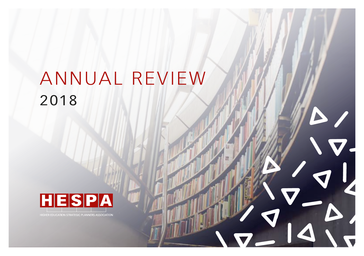# ANNUAL REVIEW 2018

 $\overline{\mathbf{v}}$  .



HIGHER EDUCATION STRATEGIC PLANNERS ASSOCIATION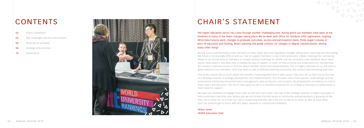## CHAIR'S STATEMENT

During such a transformative time, and with so many major data and regulatory changes taking place, planning and forecasting the future is increasingly difficult and our role to support members is ever-more pressured. Indeed, meeting the contrasting needs of our broad array of members is a major internal challenge for HESPA and we constantly seek feedback about what works, what doesn't and what else is needed by way of support. In order to help us know and understand our membership, we conduct a biennial survey to find out about member remits and responsibilities. This is hugely important to us, but also of great interest to our members, who may wish to look at different planning structures and conduct benchmarking exercises.

The survey results tell us much about the breadth of planning work which takes place. They also tell us that core to the role of a strategic planner is strategy development and implementation. This includes many more specific undertakings such as institutional monitoring and performance management, data production and analysis, the presentation of evidence to inform major plans and decisions. This list of tasks goes on and it is therefore essential for us to keep a close eye on where there is most need for support.

We want our members to engage more; with us and with each other. The role of the strategic planner in higher education is more prominent now than ever before and we are thrilled that the sense of community among members is growing all the time, but in order for us to fulfil our role in supporting planners, we'd like you to talk to us more, as well as each other. Don't be afraid to get in touch with any ideas, requests or constructive feedback.

Alison Jones HESPA Executive Chair

The higher education sector has come through another challenging year, during which our members have been at the forefront of many of the major changes taking place. We've dealt with Office for Students (OfS) registration, ongoing HESA Data Futures work, changes to graduate outcomes, access and participation plans, Philip Augar's review of post-18 education and funding, Brexit planning and grade inflation (or changes to degree classifications), among many other things.

## CONTENTS

- Chair's statement 03
- Key challenges and the environment 04

#### What we've achieved 06

- Strategy and priorities 08
- Governance 10

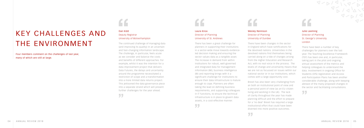Four members comment on the challenges of last year, many of which are still at large.



## KEY CHALLENGES AND THE ENVIRONMENT

### Julie Leeming Director of Planning St. George's University London

 $\epsilon$ 

55

There have been a number of key challenges for planners over the last year. The Teaching Excellence Framework (TEF) has been one and, in particular, taking part in the pilot and ongoing annual assessment of the metrics and helping colleagues to understand the data. Involvement in ongoing Office for Students (OfS) registration and Access and Participation Plans has been another considerable challenge, along with keeping abreast of the many proposed changes in the sector and facilitating consultations.

 $3 - D/9$   $3 - D/9$   $3 - D/9$   $3 - 4$ 

#### Laura Knox Director of Planning University of St. Andrews

There has been a great challenge for planners in supporting their institutions in a sector-wide move towards evidenceled decision making and ensuring the sector values data as a tangible asset. The increase in demand from within institutions for robust, well-governed and integrated data for management information (MI), business intelligence (BI) and reporting brings with it a significant challenge for institutions to ensure their data infrastructure is mature enough to cope. Planners are often taking the lead on defining business requirements, and supporting colleagues in IT functions, to ensure the technical infrastructure is in place to govern data assets, in a cost-effective manner.

55

"

#### Dan Kidd Deputy Registrar University of Wolverhampton

The continued challenge of managing data (and improving its quality) in an uncertain and fast-changing information landscape. The challenge, in particular, feels acute as we consider and balance the costs and benefits of different approaches. For example, whilst it was the intention for a data improvement project that delivers Data Futures, the delays and uncertainty around the programme necessitated a restriction of scope and a transformation into a more limited data returns project. This jettisoned the data governance piece into a separate strand which will present further challenges for the year ahead.

55



#### Wesley Rennison Director of Planning University of Dundee

There have been changes in the sector in England which have ramifications for the devolved nations. Universities in the devolved nations find themselves being carried along on a tide of changes arising from the Higher Education and Research Act, with no real voice in the process. The levels of change and uncertainty means that we are not as focussed on issues within our national sector or in our institutions, which comes with a large opportunity cost.

Brexit has also been very challenging from an both an institutional point of view and a personal point of view (as an EU citizen living and working in the UK). The lack of clarity throughout the year has made planning difficult and the effort to prepare for a 'no deal' Brexit has required a large institutional effort that could have been diverted into more positive outcomes.

55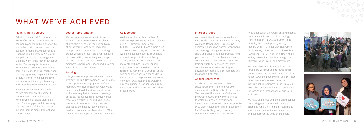#### Planning Remit Survey

'What do planners do?' is a question we're often asked by new members and non-planners. To help answer this, and to help prioritise and direct our support to members, we launched a Planning Remit Survey in 2016 to try and paint a picture of strategy and planning work in the higher education sector. The survey is biennial and we have now completed the second iteration. It aims to offer insight about the varying remits, responsibilities and structures of planning departments and teams, and identify interesting interfaces between various functions.

What the survey confirms is that no two planners are the same. It demonstrates clearly the breadth of work in which strategic planners in the UK are engaged and, in knowing this, we can hopefully work better to support them in many different and tailored ways.

### WHAT WE'VE ACHIEVED

#### Sector Representation

We continue to engage heavily in sector groups in order to represent the views of strategic planners in the sector. Many of our executive and wider members hold places on committees and working groups which are responsible for high level decision making. We actively encourage this to continue to ensure the voice of our members is heard and understood in sector wide discussion and debate.

#### Training

This year we have produced a new training strategy – HESPA Development - which aims to incorporate the varying needs of our members. We have researched widely and made considered decisions about pricing, audiences, regularity of events, coverage of topics, repeat events, proactive versus reactive activities, large and small-scale events and many other things. We are pleased to continually receive excellent feedback from our members about HESPA training and we hope to continue improving.

#### Collaboration

We have worked with a number of different representative bodies including our PHES family members; AUDE, BUFDG, HEPA and UHR, and others such as ARMA, AHUA, UUK, SROC, AGCAS. This work includes joint events, roundtable discussions, publications, lobbying activity and other advocacy work, and many other things. This willingness of partners or stakeholders to work together is very much a strength of the sector and we want to work harder to make it even more prevalent. We are a very open organisation and welcome any communication or approach from colleagues in the sector for discussion or joint work.

#### Interest Groups

We operate five interest groups: Policy, Risk, Student Number Planning, Strategy, Workload Management. Groups use dedicated discussion boards, workshops and meetings to engage members, share challenges and best practice. Next year we plan to further balance these communities of practice with our main training strategy to ensure that they complement our wider learning and development remit so that members get the most out of them.

#### Annual Conference

In February 2019 we ran another successful conference for over 200 members at the University of Nottingham. The theme of the event was Value and the Greater Good and we were thrilled to welcome a host of exciting and interesting speakers such as Amatey Doku (NUS Vice President for Higher Education), Paul Greatrix (Registrar, University of Nottingham), Professor Shearer West

(Vice-Chancellor, University of Nottingham), Annette Vancil (Director of Technology Transformation, HESA), Dan Cook (Head of Policy and Development, HESA), Richard Smith (TEF Pilot Manager, Office for Students), Simon Perks (Sock Monkey Consulting), Dr Catriona Firth (Head of REF Policy, Research England), Ant Bagshaw (Director, Nous Group) and many more.

We were also very pleased this year to forge links with our counterparts in the United States and we welcomed Christine Keller (CEO) and Leah Ewing-Ross (Director of Research) of the Association of Institutional Researchers in the US to our executive meeting and annual conference for fascinating comparisons of our roles and sectors.

We have again received excellent feedback from delegates, some of whom were attending for the first time, presenting us with a new community to connect with and support for the good of the sector.



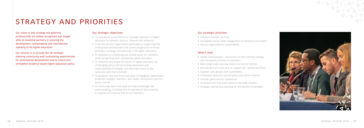Our vision is that strategy and planning professionals are widely recognised and sought after as essential partners in securing the development, sustainability and international standing of UK higher education.

Our mission is to provide the UK strategic planning community with outstanding opportunities for professional development and to inform and strengthen evidence based higher education policy.

#### Our strategic objectives

- To provide an active forum for strategic planners in higher education to network, discuss, improve and influence
- To be the primary organisation dedicated to supporting the professional development and career progression of those working in strategy and planning in UK higher education
- To represent a compelling and unified voice for members, while recognising their contrasting needs and ideas
- To influence and shape the future of higher education by challenging policy and promoting awareness and understanding of strategy and planning issues locally, nationally and internationally
- To establish new and improved ways of engaging stakeholders to benefit strategic planners, their wider connections and the sector overall
- To continually learn and seek out new knowledge and understanding, including that of operational best practice, to expand and improve that of our members

## STRATEGY AND PRIORITIES

#### Our strategic priorities

- Enhance member services
- Strengthen sector wide engagement to influence and impact
- Secure organisational sustainability

#### What's next

- HESPA Development full launch of new training strategy and increased provision to members
- More large-scale one-day events on topical themes
- Recruitment of a new post to support Jen, Jemma and Ruth
- Supplier user groups and roundtables
- Continued advocacy around policy and sector matters
- Another great annual conference
- Increased and improved resource and web content
- Strategic partnership working for the benefit of members

 $9 - D/9$ 

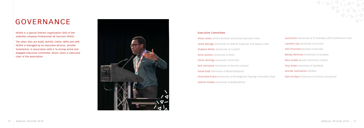HESPA is a special interest organisation (SIO) of the umbrella company Professional HE Services (PHES).

The other SIOs are AUDE, BUFDG, CHEIA, HEPA and UHR. HESPA is managed by its executive director, Jennifer Summerton, in association with a 16-strong active and engaged executive committee. Alison Jones is executive chair of the association.



#### Executive Committee

Alison Jones *(Oxford Brookes University) Executive Chair* Jackie Njoroge *(University of Salford) Treasurer and Deputy Chair* Shabana Akhtar *(University of London)* Anita Jackson *(University of Kent)* Simon Jennings *(Lancaster University)* Nick Johnstone *(University of the Arts London)* Daniel Kidd *(University of Wolverhampton)* Olivia Kew-Fickus *(University of Birmingham) Training Committee Chair* Aashish Khadia *(University of Bedfordshire)*

## GOVERNANCE

Laura Knox *(University of St Andrews) 2018 Conference Chair* Caroline Low *(University of Lincoln)* John Pritchard *(Durham University)* Wesley Rennison *(University of Dundee)* Rosa Scoble *(Brunel University London)* Tony Strike *(University of Sheffield)* Jennifer Summerton *(HESPA)* Sally Turnbull *(University of Central Lancashire)*